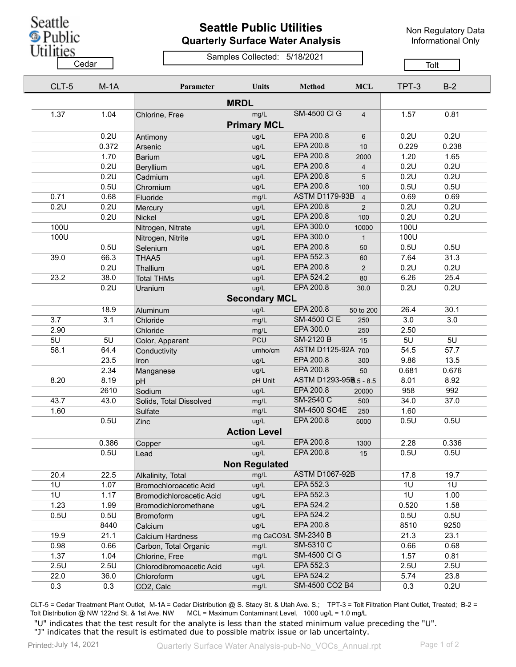Seattle **D**<br>Public<br>Utilities

## **Seattle Public Utilities Quarterly Surface Water Analysis**

Non Regulatory Data Informational Only

Samples Collected: 5/18/2021 <u>Cedar Cedar Cedar Cedar Cedar Cedar Cedar Cedar Cedar Cedar Cedar Cedar Cedar Cedar Cedar Cedar Cedar Cedar Ce</u>

| CLT-5 | $M-1A$ | Parameter                     | <b>Units</b>         | Method                 | <b>MCL</b>     | TPT-3 | $B-2$ |
|-------|--------|-------------------------------|----------------------|------------------------|----------------|-------|-------|
|       |        |                               | <b>MRDL</b>          |                        |                |       |       |
| 1.37  | 1.04   | Chlorine, Free                | mg/L                 | <b>SM-4500 CI G</b>    | $\overline{4}$ | 1.57  | 0.81  |
|       |        |                               | <b>Primary MCL</b>   |                        |                |       |       |
|       | 0.2U   | Antimony                      | ug/L                 | EPA 200.8              | 6              | 0.2U  | 0.2U  |
|       | 0.372  | Arsenic                       | ug/L                 | EPA 200.8              | 10             | 0.229 | 0.238 |
|       | 1.70   | <b>Barium</b>                 | ug/L                 | EPA 200.8              | 2000           | 1.20  | 1.65  |
|       | 0.2U   | Beryllium                     | ug/L                 | EPA 200.8              | $\overline{4}$ | 0.2U  | 0.2U  |
|       | 0.2U   | Cadmium                       | ug/L                 | EPA 200.8              | 5              | 0.2U  | 0.2U  |
|       | 0.5U   | Chromium                      | ug/L                 | EPA 200.8              | 100            | 0.5U  | 0.5U  |
| 0.71  | 0.68   | Fluoride                      | mg/L                 | <b>ASTM D1179-93B</b>  | $\overline{4}$ | 0.69  | 0.69  |
| 0.2U  | 0.2U   | Mercury                       | ug/L                 | EPA 200.8              | $\overline{2}$ | 0.2U  | 0.2U  |
|       | 0.2U   | Nickel                        | ug/L                 | EPA 200.8              | 100            | 0.2U  | 0.2U  |
| 100U  |        | Nitrogen, Nitrate             | ug/L                 | EPA 300.0              | 10000          | 100U  |       |
| 100U  |        | Nitrogen, Nitrite             | ug/L                 | EPA 300.0              | $\mathbf{1}$   | 100U  |       |
|       | 0.5U   | Selenium                      | ug/L                 | EPA 200.8              | 50             | 0.5U  | 0.5U  |
| 39.0  | 66.3   | THAA5                         | ug/L                 | EPA 552.3              | 60             | 7.64  | 31.3  |
|       | 0.2U   | Thallium                      | ug/L                 | EPA 200.8              | $\overline{2}$ | 0.2U  | 0.2U  |
| 23.2  | 38.0   | <b>Total THMs</b>             | ug/L                 | EPA 524.2              | 80             | 6.26  | 25.4  |
|       | 0.2U   | Uranium                       | ug/L                 | EPA 200.8              | 30.0           | 0.2U  | 0.2U  |
|       |        |                               | <b>Secondary MCL</b> |                        |                |       |       |
|       |        |                               |                      | EPA 200.8              |                |       |       |
|       | 18.9   | Aluminum                      | ug/L                 | <b>SM-4500 CI E</b>    | 50 to 200      | 26.4  | 30.1  |
| 3.7   | 3.1    | Chloride                      | mg/L                 | EPA 300.0              | 250            | 3.0   | 3.0   |
| 2.90  |        | Chloride                      | mg/L                 | <b>SM-2120 B</b>       | 250            | 2.50  |       |
| 5U    | 5U     | Color, Apparent               | <b>PCU</b>           |                        | 15             | 5U    | 5U    |
| 58.1  | 64.4   | Conductivity                  | umho/cm              | ASTM D1125-92A 700     |                | 54.5  | 57.7  |
|       | 23.5   | Iron                          | ug/L                 | EPA 200.8              | 300            | 9.86  | 13.5  |
|       | 2.34   | Manganese                     | ug/L                 | EPA 200.8              | 50             | 0.681 | 0.676 |
| 8.20  | 8.19   | pH                            | pH Unit              | ASTM D1293-958.5 - 8.5 |                | 8.01  | 8.92  |
|       | 2610   | Sodium                        | ug/L                 | EPA 200.8              | 20000          | 958   | 992   |
| 43.7  | 43.0   | Solids, Total Dissolved       | mg/L                 | SM-2540 C              | 500            | 34.0  | 37.0  |
| 1.60  |        | Sulfate                       | mg/L                 | <b>SM-4500 SO4E</b>    | 250            | 1.60  |       |
|       | 0.5U   | Zinc                          | ug/L                 | EPA 200.8              | 5000           | 0.5U  | 0.5U  |
|       |        |                               | <b>Action Level</b>  |                        |                |       |       |
|       | 0.386  | Copper                        | ug/L                 | EPA 200.8              | 1300           | 2.28  | 0.336 |
|       | 0.5U   | Lead                          | ug/L                 | EPA 200.8              | 15             | 0.5U  | 0.5U  |
|       |        |                               | <b>Non Regulated</b> |                        |                |       |       |
| 20.4  | 22.5   | Alkalinity, Total             | mg/L                 | <b>ASTM D1067-92B</b>  |                | 17.8  | 19.7  |
| 1U    | 1.07   | <b>Bromochloroacetic Acid</b> | ug/L                 | EPA 552.3              |                | 1U    | 1U    |
| 1U    | 1.17   | Bromodichloroacetic Acid      | ug/L                 | EPA 552.3              |                | 1U    | 1.00  |
| 1.23  | 1.99   | Bromodichloromethane          | ug/L                 | EPA 524.2              |                | 0.520 | 1.58  |
| 0.5U  | 0.5U   | <b>Bromoform</b>              | ug/L                 | EPA 524.2              |                | 0.5U  | 0.5U  |
|       | 8440   | Calcium                       | ug/L                 | EPA 200.8              |                | 8510  | 9250  |
| 19.9  | 21.1   | <b>Calcium Hardness</b>       |                      | mg CaCO3/L SM-2340 B   |                | 21.3  | 23.1  |
| 0.98  | 0.66   | Carbon, Total Organic         | mg/L                 | SM-5310 C              |                | 0.66  | 0.68  |
| 1.37  | 1.04   | Chlorine, Free                | mg/L                 | <b>SM-4500 CI G</b>    |                | 1.57  | 0.81  |
| 2.5U  | 2.5U   | Chlorodibromoacetic Acid      | ug/L                 | EPA 552.3              |                | 2.5U  | 2.5U  |
| 22.0  | 36.0   | Chloroform                    | ug/L                 | EPA 524.2              |                | 5.74  | 23.8  |
| 0.3   | 0.3    | CO2, Calc                     | mg/L                 | SM-4500 CO2 B4         |                | 0.3   | 0.2U  |
|       |        |                               |                      |                        |                |       |       |

CLT-5 = Cedar Treatment Plant Outlet, M-1A = Cedar Distribution @ S. Stacy St. & Utah Ave. S.; TPT-3 = Tolt Filtration Plant Outlet, Treated; B-2 = Tolt Distribution @ NW 122nd St. & 1st Ave. NW MCL = Maximum Contaminant Level, 1000 ug/L = 1.0 mg/L

"U" indicates that the test result for the analyte is less than the stated minimum value preceding the "U". "J" indicates that the result is estimated due to possible matrix issue or lab uncertainty.